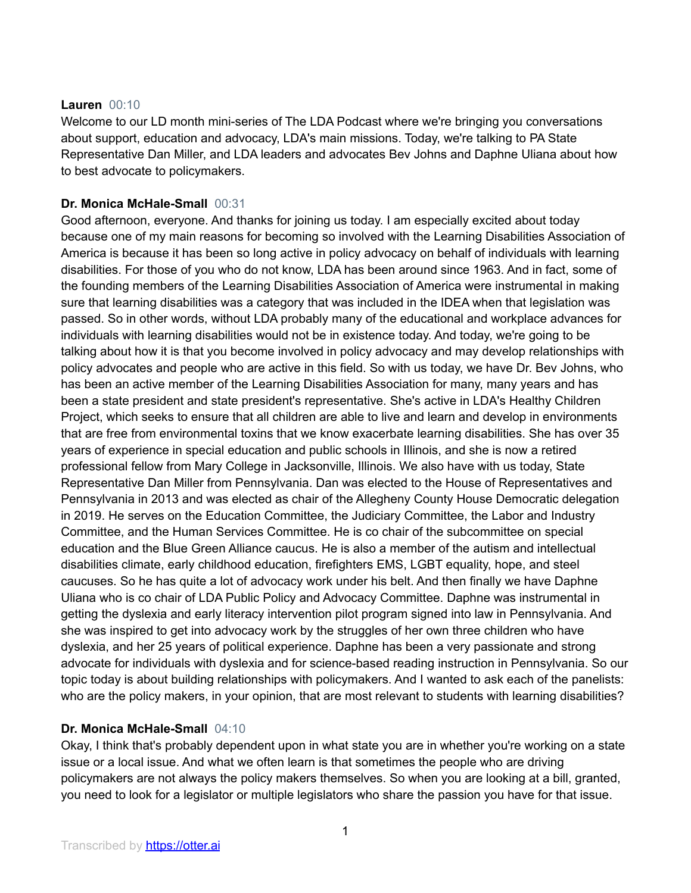## **Lauren** 00:10

Welcome to our LD month mini-series of The LDA Podcast where we're bringing you conversations about support, education and advocacy, LDA's main missions. Today, we're talking to PA State Representative Dan Miller, and LDA leaders and advocates Bev Johns and Daphne Uliana about how to best advocate to policymakers.

# **Dr. Monica McHale-Small** 00:31

Good afternoon, everyone. And thanks for joining us today. I am especially excited about today because one of my main reasons for becoming so involved with the Learning Disabilities Association of America is because it has been so long active in policy advocacy on behalf of individuals with learning disabilities. For those of you who do not know, LDA has been around since 1963. And in fact, some of the founding members of the Learning Disabilities Association of America were instrumental in making sure that learning disabilities was a category that was included in the IDEA when that legislation was passed. So in other words, without LDA probably many of the educational and workplace advances for individuals with learning disabilities would not be in existence today. And today, we're going to be talking about how it is that you become involved in policy advocacy and may develop relationships with policy advocates and people who are active in this field. So with us today, we have Dr. Bev Johns, who has been an active member of the Learning Disabilities Association for many, many years and has been a state president and state president's representative. She's active in LDA's Healthy Children Project, which seeks to ensure that all children are able to live and learn and develop in environments that are free from environmental toxins that we know exacerbate learning disabilities. She has over 35 years of experience in special education and public schools in Illinois, and she is now a retired professional fellow from Mary College in Jacksonville, Illinois. We also have with us today, State Representative Dan Miller from Pennsylvania. Dan was elected to the House of Representatives and Pennsylvania in 2013 and was elected as chair of the Allegheny County House Democratic delegation in 2019. He serves on the Education Committee, the Judiciary Committee, the Labor and Industry Committee, and the Human Services Committee. He is co chair of the subcommittee on special education and the Blue Green Alliance caucus. He is also a member of the autism and intellectual disabilities climate, early childhood education, firefighters EMS, LGBT equality, hope, and steel caucuses. So he has quite a lot of advocacy work under his belt. And then finally we have Daphne Uliana who is co chair of LDA Public Policy and Advocacy Committee. Daphne was instrumental in getting the dyslexia and early literacy intervention pilot program signed into law in Pennsylvania. And she was inspired to get into advocacy work by the struggles of her own three children who have dyslexia, and her 25 years of political experience. Daphne has been a very passionate and strong advocate for individuals with dyslexia and for science-based reading instruction in Pennsylvania. So our topic today is about building relationships with policymakers. And I wanted to ask each of the panelists: who are the policy makers, in your opinion, that are most relevant to students with learning disabilities?

# **Dr. Monica McHale-Small** 04:10

Okay, I think that's probably dependent upon in what state you are in whether you're working on a state issue or a local issue. And what we often learn is that sometimes the people who are driving policymakers are not always the policy makers themselves. So when you are looking at a bill, granted, you need to look for a legislator or multiple legislators who share the passion you have for that issue.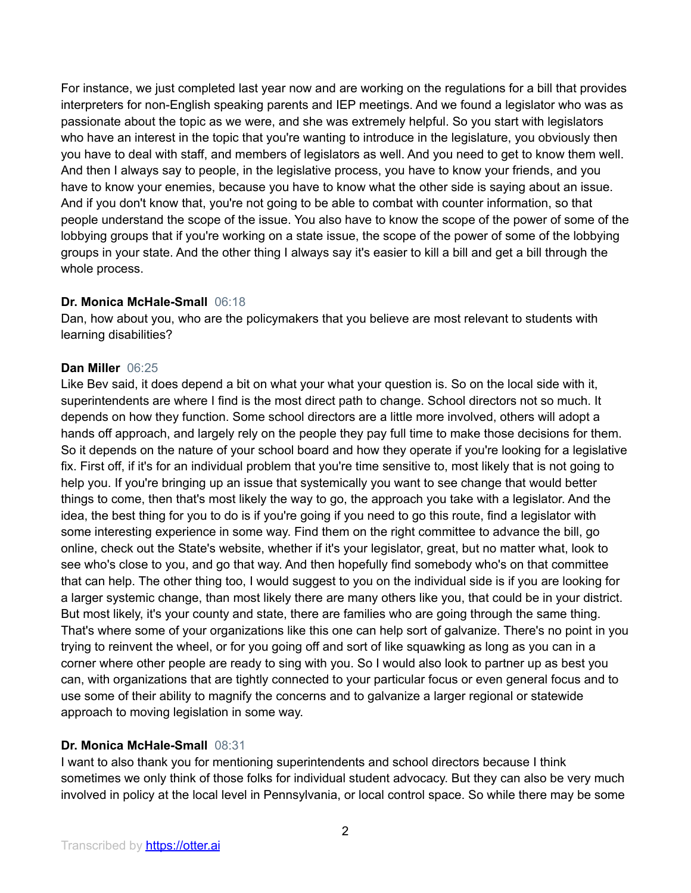For instance, we just completed last year now and are working on the regulations for a bill that provides interpreters for non-English speaking parents and IEP meetings. And we found a legislator who was as passionate about the topic as we were, and she was extremely helpful. So you start with legislators who have an interest in the topic that you're wanting to introduce in the legislature, you obviously then you have to deal with staff, and members of legislators as well. And you need to get to know them well. And then I always say to people, in the legislative process, you have to know your friends, and you have to know your enemies, because you have to know what the other side is saying about an issue. And if you don't know that, you're not going to be able to combat with counter information, so that people understand the scope of the issue. You also have to know the scope of the power of some of the lobbying groups that if you're working on a state issue, the scope of the power of some of the lobbying groups in your state. And the other thing I always say it's easier to kill a bill and get a bill through the whole process.

## **Dr. Monica McHale-Small** 06:18

Dan, how about you, who are the policymakers that you believe are most relevant to students with learning disabilities?

#### **Dan Miller** 06:25

Like Bev said, it does depend a bit on what your what your question is. So on the local side with it, superintendents are where I find is the most direct path to change. School directors not so much. It depends on how they function. Some school directors are a little more involved, others will adopt a hands off approach, and largely rely on the people they pay full time to make those decisions for them. So it depends on the nature of your school board and how they operate if you're looking for a legislative fix. First off, if it's for an individual problem that you're time sensitive to, most likely that is not going to help you. If you're bringing up an issue that systemically you want to see change that would better things to come, then that's most likely the way to go, the approach you take with a legislator. And the idea, the best thing for you to do is if you're going if you need to go this route, find a legislator with some interesting experience in some way. Find them on the right committee to advance the bill, go online, check out the State's website, whether if it's your legislator, great, but no matter what, look to see who's close to you, and go that way. And then hopefully find somebody who's on that committee that can help. The other thing too, I would suggest to you on the individual side is if you are looking for a larger systemic change, than most likely there are many others like you, that could be in your district. But most likely, it's your county and state, there are families who are going through the same thing. That's where some of your organizations like this one can help sort of galvanize. There's no point in you trying to reinvent the wheel, or for you going off and sort of like squawking as long as you can in a corner where other people are ready to sing with you. So I would also look to partner up as best you can, with organizations that are tightly connected to your particular focus or even general focus and to use some of their ability to magnify the concerns and to galvanize a larger regional or statewide approach to moving legislation in some way.

## **Dr. Monica McHale-Small** 08:31

I want to also thank you for mentioning superintendents and school directors because I think sometimes we only think of those folks for individual student advocacy. But they can also be very much involved in policy at the local level in Pennsylvania, or local control space. So while there may be some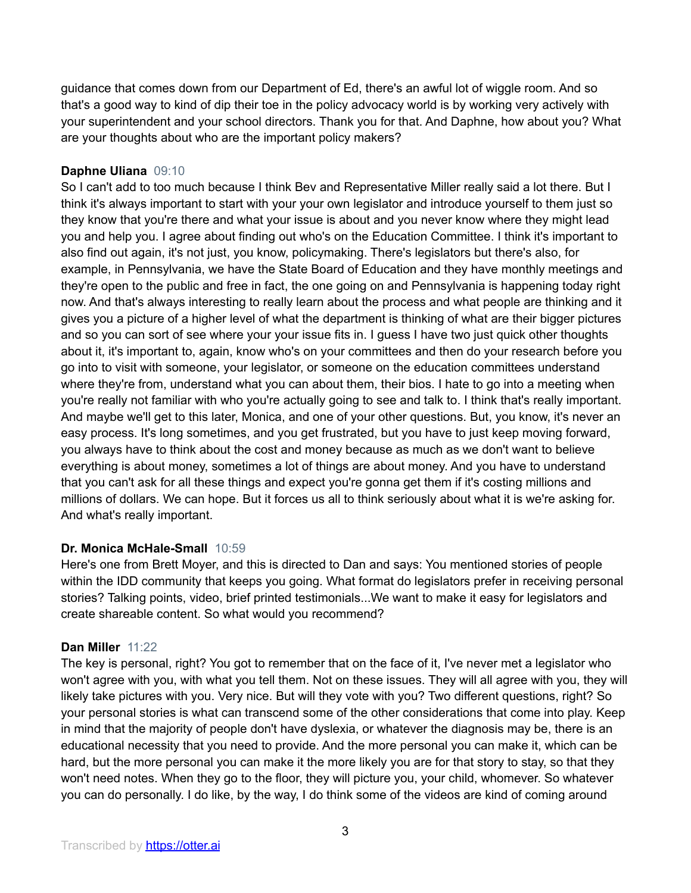guidance that comes down from our Department of Ed, there's an awful lot of wiggle room. And so that's a good way to kind of dip their toe in the policy advocacy world is by working very actively with your superintendent and your school directors. Thank you for that. And Daphne, how about you? What are your thoughts about who are the important policy makers?

## **Daphne Uliana** 09:10

So I can't add to too much because I think Bev and Representative Miller really said a lot there. But I think it's always important to start with your your own legislator and introduce yourself to them just so they know that you're there and what your issue is about and you never know where they might lead you and help you. I agree about finding out who's on the Education Committee. I think it's important to also find out again, it's not just, you know, policymaking. There's legislators but there's also, for example, in Pennsylvania, we have the State Board of Education and they have monthly meetings and they're open to the public and free in fact, the one going on and Pennsylvania is happening today right now. And that's always interesting to really learn about the process and what people are thinking and it gives you a picture of a higher level of what the department is thinking of what are their bigger pictures and so you can sort of see where your your issue fits in. I guess I have two just quick other thoughts about it, it's important to, again, know who's on your committees and then do your research before you go into to visit with someone, your legislator, or someone on the education committees understand where they're from, understand what you can about them, their bios. I hate to go into a meeting when you're really not familiar with who you're actually going to see and talk to. I think that's really important. And maybe we'll get to this later, Monica, and one of your other questions. But, you know, it's never an easy process. It's long sometimes, and you get frustrated, but you have to just keep moving forward, you always have to think about the cost and money because as much as we don't want to believe everything is about money, sometimes a lot of things are about money. And you have to understand that you can't ask for all these things and expect you're gonna get them if it's costing millions and millions of dollars. We can hope. But it forces us all to think seriously about what it is we're asking for. And what's really important.

# **Dr. Monica McHale-Small** 10:59

Here's one from Brett Moyer, and this is directed to Dan and says: You mentioned stories of people within the IDD community that keeps you going. What format do legislators prefer in receiving personal stories? Talking points, video, brief printed testimonials...We want to make it easy for legislators and create shareable content. So what would you recommend?

## **Dan Miller** 11:22

The key is personal, right? You got to remember that on the face of it, I've never met a legislator who won't agree with you, with what you tell them. Not on these issues. They will all agree with you, they will likely take pictures with you. Very nice. But will they vote with you? Two different questions, right? So your personal stories is what can transcend some of the other considerations that come into play. Keep in mind that the majority of people don't have dyslexia, or whatever the diagnosis may be, there is an educational necessity that you need to provide. And the more personal you can make it, which can be hard, but the more personal you can make it the more likely you are for that story to stay, so that they won't need notes. When they go to the floor, they will picture you, your child, whomever. So whatever you can do personally. I do like, by the way, I do think some of the videos are kind of coming around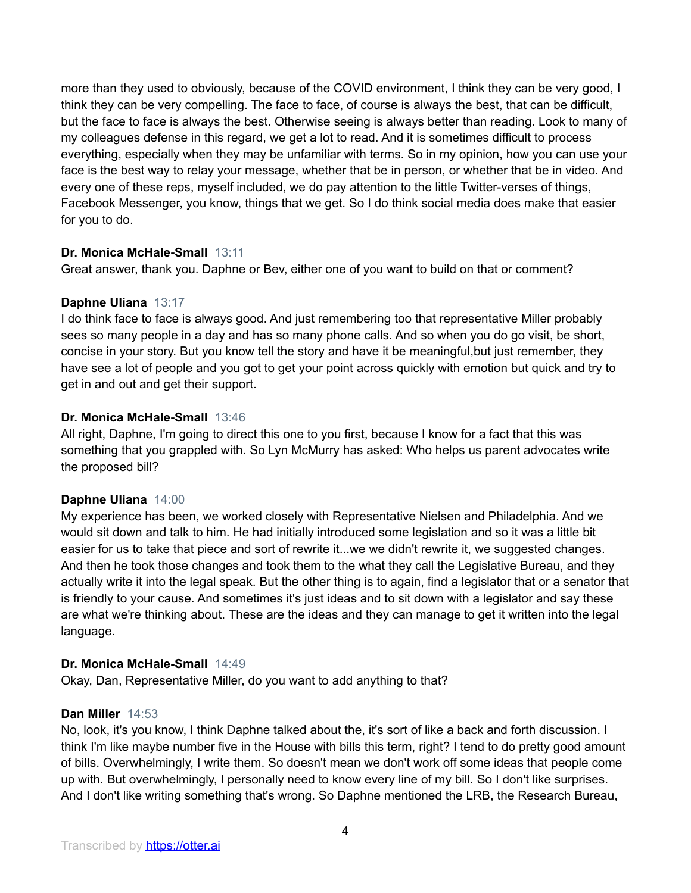more than they used to obviously, because of the COVID environment, I think they can be very good, I think they can be very compelling. The face to face, of course is always the best, that can be difficult, but the face to face is always the best. Otherwise seeing is always better than reading. Look to many of my colleagues defense in this regard, we get a lot to read. And it is sometimes difficult to process everything, especially when they may be unfamiliar with terms. So in my opinion, how you can use your face is the best way to relay your message, whether that be in person, or whether that be in video. And every one of these reps, myself included, we do pay attention to the little Twitter-verses of things, Facebook Messenger, you know, things that we get. So I do think social media does make that easier for you to do.

## **Dr. Monica McHale-Small** 13:11

Great answer, thank you. Daphne or Bev, either one of you want to build on that or comment?

## **Daphne Uliana** 13:17

I do think face to face is always good. And just remembering too that representative Miller probably sees so many people in a day and has so many phone calls. And so when you do go visit, be short, concise in your story. But you know tell the story and have it be meaningful,but just remember, they have see a lot of people and you got to get your point across quickly with emotion but quick and try to get in and out and get their support.

## **Dr. Monica McHale-Small** 13:46

All right, Daphne, I'm going to direct this one to you first, because I know for a fact that this was something that you grappled with. So Lyn McMurry has asked: Who helps us parent advocates write the proposed bill?

## **Daphne Uliana** 14:00

My experience has been, we worked closely with Representative Nielsen and Philadelphia. And we would sit down and talk to him. He had initially introduced some legislation and so it was a little bit easier for us to take that piece and sort of rewrite it...we we didn't rewrite it, we suggested changes. And then he took those changes and took them to the what they call the Legislative Bureau, and they actually write it into the legal speak. But the other thing is to again, find a legislator that or a senator that is friendly to your cause. And sometimes it's just ideas and to sit down with a legislator and say these are what we're thinking about. These are the ideas and they can manage to get it written into the legal language.

## **Dr. Monica McHale-Small** 14:49

Okay, Dan, Representative Miller, do you want to add anything to that?

## **Dan Miller** 14:53

No, look, it's you know, I think Daphne talked about the, it's sort of like a back and forth discussion. I think I'm like maybe number five in the House with bills this term, right? I tend to do pretty good amount of bills. Overwhelmingly, I write them. So doesn't mean we don't work off some ideas that people come up with. But overwhelmingly, I personally need to know every line of my bill. So I don't like surprises. And I don't like writing something that's wrong. So Daphne mentioned the LRB, the Research Bureau,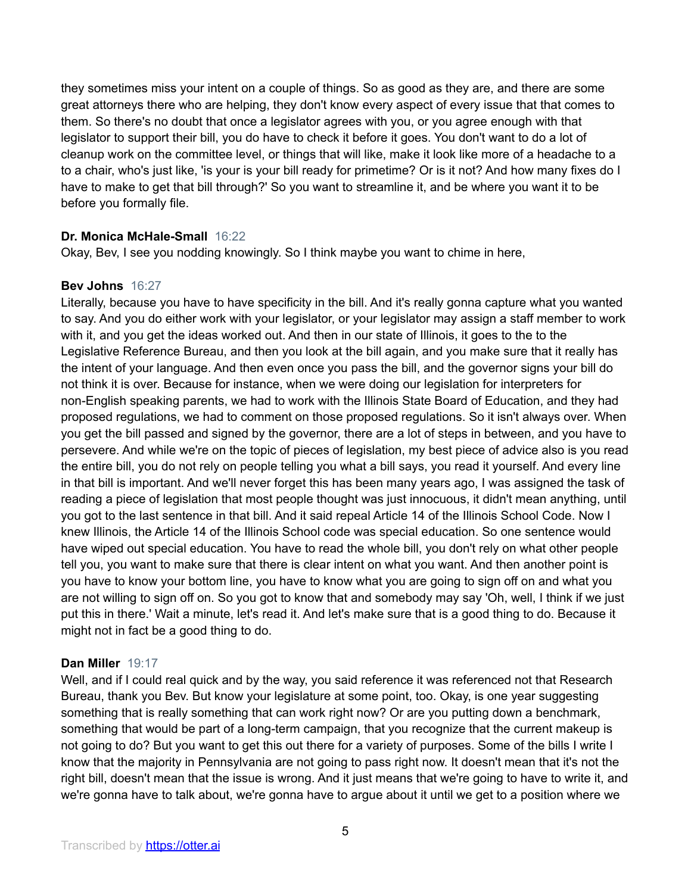they sometimes miss your intent on a couple of things. So as good as they are, and there are some great attorneys there who are helping, they don't know every aspect of every issue that that comes to them. So there's no doubt that once a legislator agrees with you, or you agree enough with that legislator to support their bill, you do have to check it before it goes. You don't want to do a lot of cleanup work on the committee level, or things that will like, make it look like more of a headache to a to a chair, who's just like, 'is your is your bill ready for primetime? Or is it not? And how many fixes do I have to make to get that bill through?' So you want to streamline it, and be where you want it to be before you formally file.

## **Dr. Monica McHale-Small** 16:22

Okay, Bev, I see you nodding knowingly. So I think maybe you want to chime in here,

## **Bev Johns** 16:27

Literally, because you have to have specificity in the bill. And it's really gonna capture what you wanted to say. And you do either work with your legislator, or your legislator may assign a staff member to work with it, and you get the ideas worked out. And then in our state of Illinois, it goes to the to the Legislative Reference Bureau, and then you look at the bill again, and you make sure that it really has the intent of your language. And then even once you pass the bill, and the governor signs your bill do not think it is over. Because for instance, when we were doing our legislation for interpreters for non-English speaking parents, we had to work with the Illinois State Board of Education, and they had proposed regulations, we had to comment on those proposed regulations. So it isn't always over. When you get the bill passed and signed by the governor, there are a lot of steps in between, and you have to persevere. And while we're on the topic of pieces of legislation, my best piece of advice also is you read the entire bill, you do not rely on people telling you what a bill says, you read it yourself. And every line in that bill is important. And we'll never forget this has been many years ago, I was assigned the task of reading a piece of legislation that most people thought was just innocuous, it didn't mean anything, until you got to the last sentence in that bill. And it said repeal Article 14 of the Illinois School Code. Now I knew Illinois, the Article 14 of the Illinois School code was special education. So one sentence would have wiped out special education. You have to read the whole bill, you don't rely on what other people tell you, you want to make sure that there is clear intent on what you want. And then another point is you have to know your bottom line, you have to know what you are going to sign off on and what you are not willing to sign off on. So you got to know that and somebody may say 'Oh, well, I think if we just put this in there.' Wait a minute, let's read it. And let's make sure that is a good thing to do. Because it might not in fact be a good thing to do.

## **Dan Miller** 19:17

Well, and if I could real quick and by the way, you said reference it was referenced not that Research Bureau, thank you Bev. But know your legislature at some point, too. Okay, is one year suggesting something that is really something that can work right now? Or are you putting down a benchmark, something that would be part of a long-term campaign, that you recognize that the current makeup is not going to do? But you want to get this out there for a variety of purposes. Some of the bills I write I know that the majority in Pennsylvania are not going to pass right now. It doesn't mean that it's not the right bill, doesn't mean that the issue is wrong. And it just means that we're going to have to write it, and we're gonna have to talk about, we're gonna have to argue about it until we get to a position where we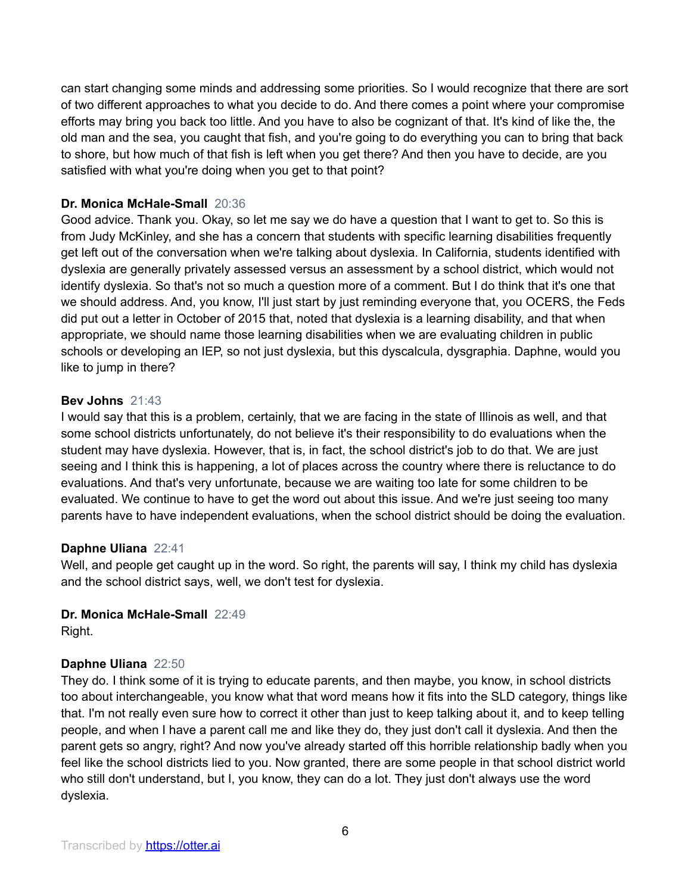can start changing some minds and addressing some priorities. So I would recognize that there are sort of two different approaches to what you decide to do. And there comes a point where your compromise efforts may bring you back too little. And you have to also be cognizant of that. It's kind of like the, the old man and the sea, you caught that fish, and you're going to do everything you can to bring that back to shore, but how much of that fish is left when you get there? And then you have to decide, are you satisfied with what you're doing when you get to that point?

# **Dr. Monica McHale-Small** 20:36

Good advice. Thank you. Okay, so let me say we do have a question that I want to get to. So this is from Judy McKinley, and she has a concern that students with specific learning disabilities frequently get left out of the conversation when we're talking about dyslexia. In California, students identified with dyslexia are generally privately assessed versus an assessment by a school district, which would not identify dyslexia. So that's not so much a question more of a comment. But I do think that it's one that we should address. And, you know, I'll just start by just reminding everyone that, you OCERS, the Feds did put out a letter in October of 2015 that, noted that dyslexia is a learning disability, and that when appropriate, we should name those learning disabilities when we are evaluating children in public schools or developing an IEP, so not just dyslexia, but this dyscalcula, dysgraphia. Daphne, would you like to jump in there?

# **Bev Johns** 21:43

I would say that this is a problem, certainly, that we are facing in the state of Illinois as well, and that some school districts unfortunately, do not believe it's their responsibility to do evaluations when the student may have dyslexia. However, that is, in fact, the school district's job to do that. We are just seeing and I think this is happening, a lot of places across the country where there is reluctance to do evaluations. And that's very unfortunate, because we are waiting too late for some children to be evaluated. We continue to have to get the word out about this issue. And we're just seeing too many parents have to have independent evaluations, when the school district should be doing the evaluation.

## **Daphne Uliana** 22:41

Well, and people get caught up in the word. So right, the parents will say, I think my child has dyslexia and the school district says, well, we don't test for dyslexia.

# **Dr. Monica McHale-Small** 22:49

Right.

# **Daphne Uliana** 22:50

They do. I think some of it is trying to educate parents, and then maybe, you know, in school districts too about interchangeable, you know what that word means how it fits into the SLD category, things like that. I'm not really even sure how to correct it other than just to keep talking about it, and to keep telling people, and when I have a parent call me and like they do, they just don't call it dyslexia. And then the parent gets so angry, right? And now you've already started off this horrible relationship badly when you feel like the school districts lied to you. Now granted, there are some people in that school district world who still don't understand, but I, you know, they can do a lot. They just don't always use the word dyslexia.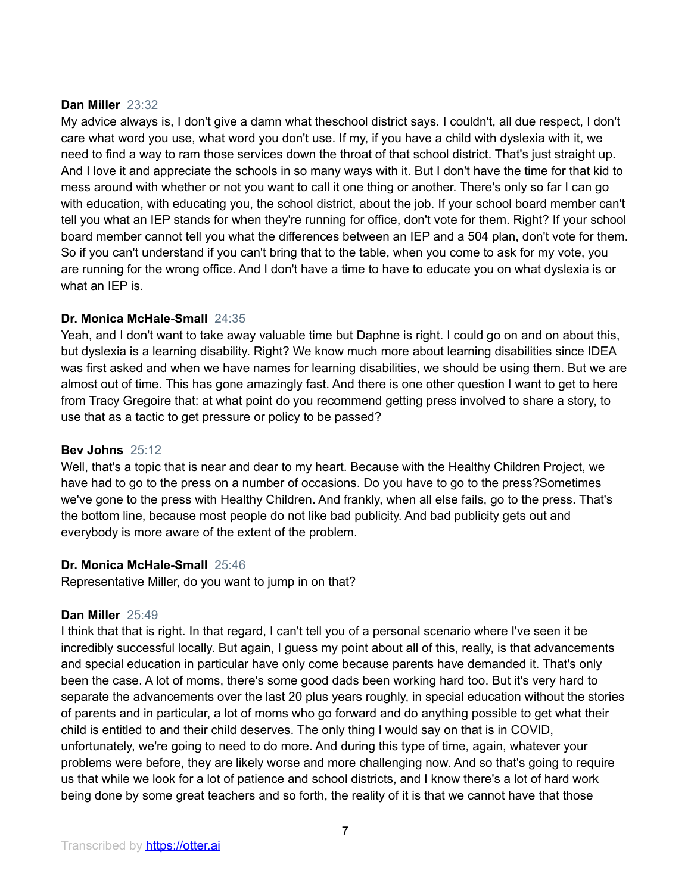## **Dan Miller** 23:32

My advice always is, I don't give a damn what theschool district says. I couldn't, all due respect, I don't care what word you use, what word you don't use. If my, if you have a child with dyslexia with it, we need to find a way to ram those services down the throat of that school district. That's just straight up. And I love it and appreciate the schools in so many ways with it. But I don't have the time for that kid to mess around with whether or not you want to call it one thing or another. There's only so far I can go with education, with educating you, the school district, about the job. If your school board member can't tell you what an IEP stands for when they're running for office, don't vote for them. Right? If your school board member cannot tell you what the differences between an IEP and a 504 plan, don't vote for them. So if you can't understand if you can't bring that to the table, when you come to ask for my vote, you are running for the wrong office. And I don't have a time to have to educate you on what dyslexia is or what an IEP is.

## **Dr. Monica McHale-Small** 24:35

Yeah, and I don't want to take away valuable time but Daphne is right. I could go on and on about this, but dyslexia is a learning disability. Right? We know much more about learning disabilities since IDEA was first asked and when we have names for learning disabilities, we should be using them. But we are almost out of time. This has gone amazingly fast. And there is one other question I want to get to here from Tracy Gregoire that: at what point do you recommend getting press involved to share a story, to use that as a tactic to get pressure or policy to be passed?

## **Bev Johns** 25:12

Well, that's a topic that is near and dear to my heart. Because with the Healthy Children Project, we have had to go to the press on a number of occasions. Do you have to go to the press?Sometimes we've gone to the press with Healthy Children. And frankly, when all else fails, go to the press. That's the bottom line, because most people do not like bad publicity. And bad publicity gets out and everybody is more aware of the extent of the problem.

## **Dr. Monica McHale-Small** 25:46

Representative Miller, do you want to jump in on that?

## **Dan Miller** 25:49

I think that that is right. In that regard, I can't tell you of a personal scenario where I've seen it be incredibly successful locally. But again, I guess my point about all of this, really, is that advancements and special education in particular have only come because parents have demanded it. That's only been the case. A lot of moms, there's some good dads been working hard too. But it's very hard to separate the advancements over the last 20 plus years roughly, in special education without the stories of parents and in particular, a lot of moms who go forward and do anything possible to get what their child is entitled to and their child deserves. The only thing I would say on that is in COVID, unfortunately, we're going to need to do more. And during this type of time, again, whatever your problems were before, they are likely worse and more challenging now. And so that's going to require us that while we look for a lot of patience and school districts, and I know there's a lot of hard work being done by some great teachers and so forth, the reality of it is that we cannot have that those